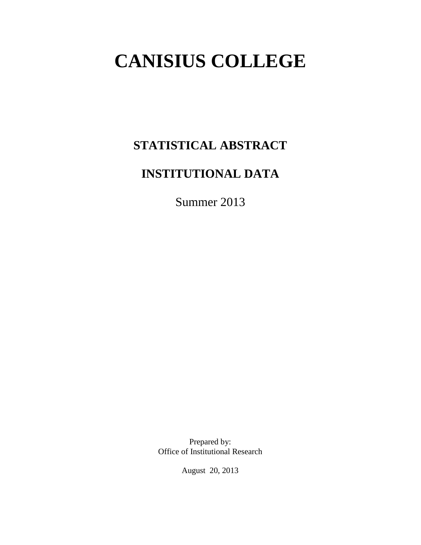# **CANISIUS COLLEGE**

# **STATISTICAL ABSTRACT**

# **INSTITUTIONAL DATA**

Summer 2013

Prepared by: Office of Institutional Research

August 20, 2013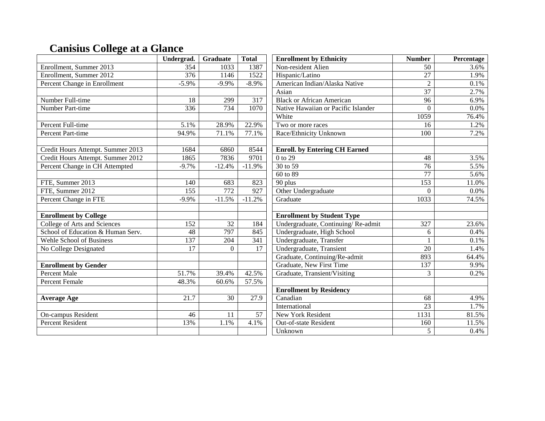# **Canisius College at a Glance**

|                                   | Undergrad.        | Graduate        | <b>Total</b>     | <b>Enrollment by Ethnicity</b>       | <b>Number</b>   | Percentage |
|-----------------------------------|-------------------|-----------------|------------------|--------------------------------------|-----------------|------------|
| Enrollment, Summer 2013           | 354               | 1033            | 1387             | Non-resident Alien                   | 50              | 3.6%       |
| Enrollment, Summer 2012           | 376               | 1146            | 1522             | Hispanic/Latino                      | 27              | 1.9%       |
| Percent Change in Enrollment      | $-5.9%$           | $-9.9%$         | $-8.9%$          | American Indian/Alaska Native        | $\overline{2}$  | 0.1%       |
|                                   |                   |                 |                  | Asian                                | $\overline{37}$ | 2.7%       |
| Number Full-time                  | 18                | 299             | 317              | <b>Black or African American</b>     | $\overline{96}$ | 6.9%       |
| Number Part-time                  | 336               | 734             | 1070             | Native Hawaiian or Pacific Islander  | $\overline{0}$  | 0.0%       |
|                                   |                   |                 |                  | White                                | 1059            | 76.4%      |
| Percent Full-time                 | 5.1%              | 28.9%           | 22.9%            | Two or more races                    | 16              | 1.2%       |
| Percent Part-time                 | 94.9%             | 71.1%           | 77.1%            | Race/Ethnicity Unknown               | 100             | 7.2%       |
|                                   |                   |                 |                  |                                      |                 |            |
| Credit Hours Attempt. Summer 2013 | 1684              | 6860            | 8544             | <b>Enroll.</b> by Entering CH Earned |                 |            |
| Credit Hours Attempt. Summer 2012 | 1865              | 7836            | 9701             | $\overline{0}$ to 29                 | 48              | 3.5%       |
| Percent Change in CH Attempted    | $-9.7\%$          | $-12.4%$        | $-11.9%$         | 30 to 59                             | $\overline{76}$ | 5.5%       |
|                                   |                   |                 |                  | 60 to 89                             | $\overline{77}$ | 5.6%       |
| FTE, Summer 2013                  | 140               | 683             | 823              | 90 plus                              | 153             | 11.0%      |
| FTE, Summer 2012                  | $\overline{155}$  | 772             | 927              | Other Undergraduate                  | $\theta$        | 0.0%       |
| Percent Change in FTE             | $-9.9\%$          | $-11.5%$        | $-11.2%$         | Graduate                             | 1033            | 74.5%      |
|                                   |                   |                 |                  |                                      |                 |            |
| <b>Enrollment by College</b>      |                   |                 |                  | <b>Enrollment by Student Type</b>    |                 |            |
| College of Arts and Sciences      | 152               | $\overline{32}$ | 184              | Undergraduate, Continuing/Re-admit   | 327             | 23.6%      |
| School of Education & Human Serv. | $\overline{48}$   | 797             | 845              | Undergraduate, High School           | 6               | 0.4%       |
| <b>Wehle School of Business</b>   | 137               | 204             | $\overline{341}$ | Undergraduate, Transfer              |                 | 0.1%       |
| No College Designated             | 17                | $\theta$        | $\overline{17}$  | Undergraduate, Transient             | $\overline{20}$ | 1.4%       |
|                                   |                   |                 |                  | Graduate, Continuing/Re-admit        | 893             | 64.4%      |
| <b>Enrollment by Gender</b>       |                   |                 |                  | <b>Graduate, New First Time</b>      | 137             | 9.9%       |
| <b>Percent Male</b>               | 51.7%             | 39.4%           | 42.5%            | Graduate, Transient/Visiting         | 3               | 0.2%       |
| Percent Female                    | 48.3%             | 60.6%           | 57.5%            |                                      |                 |            |
|                                   |                   |                 |                  | <b>Enrollment by Residency</b>       |                 |            |
| <b>Average Age</b>                | $\overline{21.7}$ | $\overline{30}$ | 27.9             | Canadian                             | $\overline{68}$ | 4.9%       |
|                                   |                   |                 |                  | International                        | $\overline{23}$ | 1.7%       |
| On-campus Resident                | 46                | 11              | 57               | New York Resident                    | 1131            | 81.5%      |
| <b>Percent Resident</b>           | 13%               | 1.1%            | 4.1%             | Out-of-state Resident                | 160             | 11.5%      |
|                                   |                   |                 |                  | Unknown                              | 5               | 0.4%       |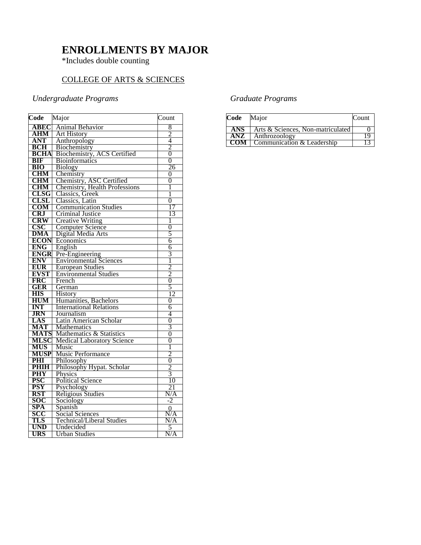### **ENROLLMENTS BY MAJOR**

\*Includes double counting

#### COLLEGE OF ARTS & SCIENCES

#### *Undergraduate Programs*

| Code                     | Major                                      | Count                 |
|--------------------------|--------------------------------------------|-----------------------|
| <b>ABEC</b>              | Animal Behavior                            | 8                     |
| <b>AHM</b>               | <b>Art History</b>                         |                       |
| <b>ANT</b>               | Anthropology                               | $\frac{2}{4}$         |
| <b>BCH</b>               | Biochemistry                               | $\overline{2}$        |
| <b>BCHA</b>              | Biochemistry, ACS Certified                | $\overline{0}$        |
| <b>BIF</b>               | <b>Bioinformatics</b>                      | $\overline{0}$        |
| <b>BIO</b>               | <b>Biology</b>                             | 26                    |
| <b>CHM</b>               | Chemistry                                  | 0                     |
| <b>CHM</b>               | Chemistry, ASC Certified                   | 0                     |
| <b>CHM</b>               | Chemistry, Health Professions              | 1                     |
| <b>CLSG</b>              | Classics, Greek                            | 1                     |
| <b>CLSL</b>              | Classics, Latin                            | 0                     |
| <b>COM</b>               | <b>Communication Studies</b>               | 17                    |
| <b>CRJ</b>               | Criminal Justice                           | 13                    |
| <b>CRW</b>               | <b>Creative Writing</b>                    | 1                     |
| <b>CSC</b>               | <b>Computer Science</b>                    | $\overline{0}$        |
| <b>DMA</b>               | Digital Media Arts                         | 5                     |
| <b>ECON</b>              | Economics                                  | 6                     |
| <b>ENG</b>               | English                                    | 6                     |
| <b>ENGR</b>              | Pre-Engineering                            | $\overline{3}$        |
| <b>ENV</b>               | <b>Environmental Sciences</b>              | Ī                     |
| EUR                      | <b>European Studies</b>                    | $\overline{2}$        |
| <b>EVST</b>              | <b>Environmental Studies</b>               | $\frac{2}{0}$         |
| <b>FRC</b>               | French                                     |                       |
| GER                      | German                                     | 5                     |
| <b>HIS</b>               | History                                    | 12                    |
| <b>HUM</b>               | Humanities, Bachelors                      | 0                     |
| <b>INT</b>               | <b>International Relations</b>             | 6                     |
| <b>JRN</b>               | Journalism                                 | 4                     |
| LAS                      | Latin American Scholar                     | 0                     |
| <b>MAT</b>               | Mathematics                                | $\overline{3}$        |
| <b>MATS</b>              | Mathematics & Statistics                   | 0                     |
| <b>MLSC</b>              | <b>Medical Laboratory Science</b>          | $\overline{0}$        |
| <b>MUS</b>               | Music                                      | 1<br>$\overline{2}$   |
| <b>MUSP</b>              | Music Performance                          | 0                     |
| PHI                      | Philosophy                                 | $\overline{2}$        |
| <b>PHIH</b>              | Philosophy Hypat. Scholar                  | $\overline{3}$        |
| <b>PHY</b>               | <b>Physics</b><br><b>Political Science</b> | 10                    |
| <b>PSC</b><br><b>PSY</b> |                                            | 21                    |
| <b>RST</b>               | Psychology<br><b>Religious Studies</b>     | N/A                   |
| SOC                      | Sociology                                  | $-2$                  |
| <b>SPA</b>               | Spanish                                    |                       |
| scc                      | Social Sciences                            | $\overline{0}$<br>N/A |
| TLS                      | <b>Technical/Liberal Studies</b>           | N/A                   |
| <b>UND</b>               | Undecided                                  | 5                     |
| <b>URS</b>               | <b>Urban Studies</b>                       | N/A                   |
|                          |                                            |                       |

#### *Graduate Programs*

| Code | Major                             | Count |
|------|-----------------------------------|-------|
| ANS. | Arts & Sciences, Non-matriculated |       |
| ANZ. | Anthrozoology                     |       |
| CON  | Communication & Leadership        |       |
|      |                                   |       |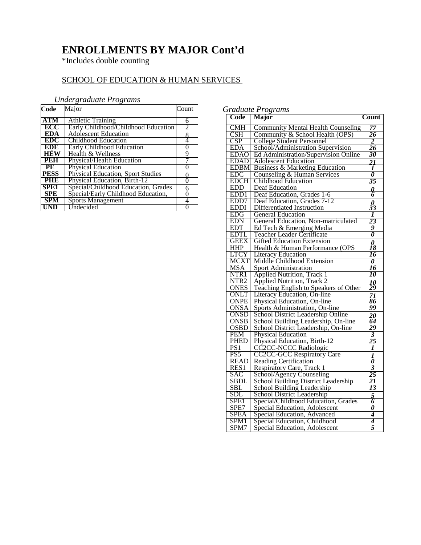# **ENROLLMENTS BY MAJOR Cont'd**

\*Includes double counting

#### SCHOOL OF EDUCATION & HUMAN SERVICES

#### *Undergraduate Programs*

| Code             | Major                                    | Count |
|------------------|------------------------------------------|-------|
| <b>ATM</b>       | <b>Athletic Training</b>                 | 6     |
| ECC              | Early Childhood/Childhood Education      | 2     |
| <b>EDA</b>       | <b>Adolescent Education</b>              | 8     |
| <b>EDC</b>       | Childhood Education                      | 4     |
| EDE              | <b>Early Childhood Education</b>         | 0     |
| <b>HEW</b>       | Health & Wellness                        | 9     |
| <b>PEH</b>       | Physical/Health Education                |       |
| PE               | Physical Education                       |       |
| <b>PESS</b>      | <b>Physical Education, Sport Studies</b> |       |
| PHE              | Physical Education, Birth-12             | 0     |
| SPE <sub>1</sub> | Special/Childhood Education, Grades      | 6     |
| <b>SPE</b>       | Special/Early Childhood Education,       | 0     |
| <b>SPM</b>       | <b>Sports Management</b>                 | 4     |
| UND              | Undecided                                |       |

#### *Graduate Programs*

| Code             | Oruunute 1 rogrums<br><b>Major</b>         | Count                            |
|------------------|--------------------------------------------|----------------------------------|
| <b>CMH</b>       | <b>Community Mental Health Counseling</b>  | 77                               |
| <b>CSH</b>       | Community & School Health (OPS)            | 26                               |
| <b>CSP</b>       | <b>College Student Personnel</b>           | $\overline{\mathbf{2}}$          |
| <b>EDA</b>       | School/Administration Supervision          | 26                               |
| <b>EDAO</b>      | Ed Administration/Supervision Online       | 30                               |
| <b>EDAD</b>      | <b>Adolescent Education</b>                | $\overline{21}$                  |
| <b>EDBM</b>      | Business & Marketing Education             | 1                                |
| <b>EDC</b>       | Counseling & Human Services                | $\overline{\boldsymbol{\theta}}$ |
| <b>EDCH</b>      | <b>Childhood Education</b>                 | 35                               |
| EDD              | Deaf Education                             | 0                                |
| EDD <sub>1</sub> | Deaf Education, Grades 1-6                 | 6                                |
| EDD7             | Deaf Education, Grades 7-12                |                                  |
| <b>EDDI</b>      | Differentiated Instruction                 | $\frac{\theta}{33}$              |
| EDG              | <b>General Education</b>                   | 1                                |
| <b>EDN</b>       | General Education, Non-matriculated        | 23                               |
| <b>EDT</b>       | Ed Tech & Emerging Media                   | 9                                |
| <b>EDTI</b>      | Teacher Leader Certificate                 | $\overline{\boldsymbol{\theta}}$ |
| <b>GEEX</b>      | <b>Gifted Education Extension</b>          | $\boldsymbol{\theta}$            |
| <b>HHP</b>       | Health & Human Performance (OPS            | 18                               |
| LTCY             | <b>Literacy Education</b>                  | 16                               |
| MCXT             | Middle Childhood Extension                 | $\boldsymbol{\theta}$            |
| MSA              | <b>Sport Administration</b>                | 16                               |
| NTR1             | <b>Applied Nutrition, Track 1</b>          | 10                               |
| NTR <sub>2</sub> | <b>Applied Nutrition</b> , Track 2         | 10                               |
| <b>ONES</b>      | Teaching English to Speakers of Other      | 29                               |
| ONLT             | Literacy Education, On-line                | $\overline{z}$                   |
| <b>ONPE</b>      | Physical Education, On-line                | 86                               |
| <b>ONSA</b>      | Sports Administration, On-line             | 99                               |
| <b>ONSD</b>      | School District Leadership Online          | 20                               |
| <b>ONSB</b>      | School Building Leadership, On-line        | 64                               |
| <b>OSBD</b>      | School District Leadership, On-line        | 29                               |
| <b>PEM</b>       | <b>Physical Education</b>                  | 3                                |
| <b>PHED</b>      | Physical Education, Birth-12               | 25                               |
| PS1              | <b>CC2CC-NCCC Radiologic</b>               | l                                |
| PS <sub>5</sub>  | <b>CC2CC-GCC Respiratory Care</b>          |                                  |
| <b>READ</b>      | <b>Reading Certification</b>               | $\frac{1}{\theta}$               |
| RES1             | Respiratory Care, Track 1                  | 3                                |
| SAC              | School/Agency Counseling                   | 25                               |
| SBDL             | <b>School Building District Leadership</b> | 21                               |
| SBL              | School Building Leadership                 | 13                               |
| SDL              | School District Leadership                 | $\overline{5}$                   |
| SPE <sub>1</sub> | Special/Childhood Education, Grades        | 6                                |
| SPE7             | Special Education, Adolescent              | 0                                |
| <b>SPEA</b>      | Special Education, Advanced                | $\overline{\boldsymbol{4}}$      |
| SPM1             | Special Education, Childhood               | 4                                |
| SPM7             | Special Education, Adolescent              | $\overline{5}$                   |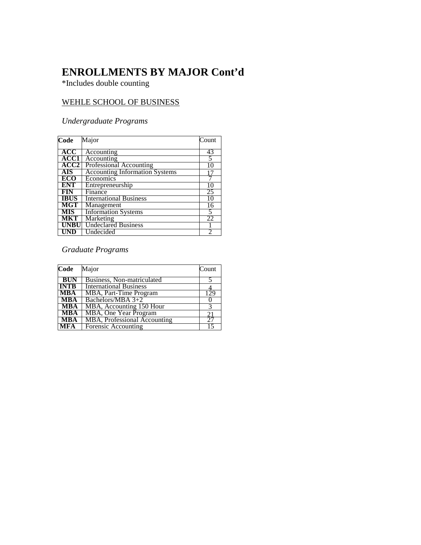### **ENROLLMENTS BY MAJOR Cont'd**

\*Includes double counting

#### WEHLE SCHOOL OF BUSINESS

#### *Undergraduate Programs*

| Code        | Major                                 | Count |
|-------------|---------------------------------------|-------|
| ACC         | Accounting                            | 43    |
| ACC1        | Accounting                            | 5     |
| ACC2        | Professional Accounting               | 10    |
| <b>AIS</b>  | <b>Accounting Information Systems</b> |       |
| ECO         | Economics                             |       |
| <b>ENT</b>  | Entrepreneurship                      | 10    |
| <b>FIN</b>  | Finance                               | 25    |
| <b>IBUS</b> | <b>International Business</b>         | 10    |
| <b>MGT</b>  | Management                            | 16    |
| <b>MIS</b>  | <b>Information Systems</b>            | 5     |
| MKT         | Marketing                             | 22    |
| <b>UNBU</b> | <b>Undeclared Business</b>            |       |
| <b>UND</b>  | Undecided                             |       |

#### *Graduate Programs*

| Code        | Major                               | Count |
|-------------|-------------------------------------|-------|
| <b>BUN</b>  | Business, Non-matriculated          |       |
| <b>INTB</b> | <b>International Business</b>       |       |
| <b>MBA</b>  | MBA, Part-Time Program              | 129   |
| <b>MBA</b>  | Bachelors/MBA 3+2                   |       |
| <b>MBA</b>  | MBA, Accounting 150 Hour            |       |
| <b>MBA</b>  | MBA, One Year Program               |       |
| <b>MBA</b>  | <b>MBA, Professional Accounting</b> |       |
| <b>MFA</b>  | <b>Forensic Accounting</b>          |       |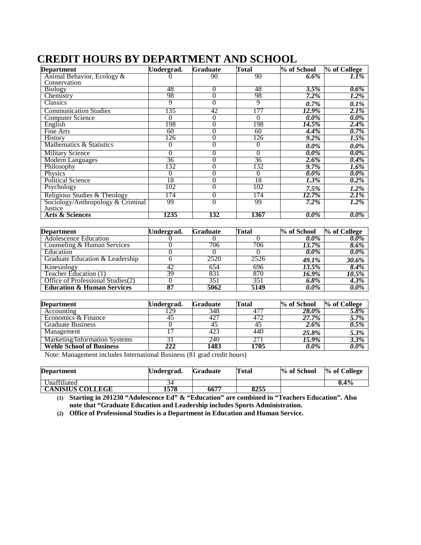### **CREDIT HOURS BY DEPARTMENT AND SCHOOL**

| <b>Department</b>                            | Undergrad.      | <b>Graduate</b> | Total           | % of School | % of College |
|----------------------------------------------|-----------------|-----------------|-----------------|-------------|--------------|
| Animal Behavior, Ecology &                   |                 | 90              | 90              | $6.6\%$     | 1.1%         |
| Conservation                                 |                 |                 |                 |             |              |
| <b>Biology</b>                               | 48              | 0               | 48              | 3.5%        | $0.6\%$      |
| Chemistry                                    | 98              | 0               | 98              | $7.2\%$     | $1.2\%$      |
| Classics                                     | 9               | 0               | 9               | $0.7\%$     | $0.1\%$      |
| <b>Communication Studies</b>                 | 135             | 42              | 177             | 12.9%       | $2.1\%$      |
| <b>Computer Science</b>                      | 0               | 0               | $\Omega$        | $0.0\%$     | $0.0\%$      |
| English                                      | 198             | 0               | 198             | 14.5%       | $2.4\%$      |
| Fine Arts                                    | 60              | 0               | 60              | 4.4%        | $0.7\%$      |
| <b>History</b>                               | 126             |                 | 126             | $9.2\%$     | $1.5\%$      |
| Mathematics & Statistics                     | $\Omega$        | 0               | 0               | $0.0\%$     | 0.0%         |
| <b>Military Science</b>                      | 0               | 0               | 0               | $0.0\%$     | $0.0\%$      |
| <b>Modern Languages</b>                      | $\overline{36}$ | 0               | $\overline{36}$ | $2.6\%$     | $0.4\%$      |
| Philosophy                                   | 132             | 0               | 132             | 9.7%        | $1.6\%$      |
| Physics                                      | $\theta$        |                 | 0               | $0.0\%$     | 0.0%         |
| <b>Political Science</b>                     | 18              | 0               | $\overline{18}$ | 1.3%        | $0.2\%$      |
| Psychology                                   | 102             | 0               | 102             | 7.5%        | 1.2%         |
| Religious Studies & Theology                 | 174             | 0               | 174             | 12.7%       | 2.1%         |
| Sociology/Anthropology & Criminal<br>Justice | 99              | 0               | 99              | $7.2\%$     | 1.2%         |
| <b>Arts &amp; Sciences</b>                   | 1235            | 132             | 1367            | $0.0\%$     | 0.0%         |

| <b>Department</b>                     | Undergrad. | <b>Graduate</b> | Total | % of School | % of College |
|---------------------------------------|------------|-----------------|-------|-------------|--------------|
| Adolescence Education                 |            |                 |       | $0.0\%$     | $0.0\%$      |
| Counseling & Human Services           |            | 706             | 706   | 13.7%       | $8.6\%$      |
| Education                             |            |                 |       | $0.0\%$     | $0.0\%$      |
| Graduate Education & Leadership       |            | 2520            | 2526  | 49.1%       | 30.6%        |
| Kinesiology                           | 42         | 654             | 696   | 13.5%       | 8.4%         |
| Teacher Education (1)                 | 39         | 831             | 870   | 16.9%       | 10.5%        |
| Office of Professional Studies(2)     |            | 351             | 351   | 6.8%        | $4.3\%$      |
| <b>Education &amp; Human Services</b> |            | 5062            | 5149  | $0.0\%$     | $0.0\%$      |

| <b>Department</b>               | Undergrad. | <b>Graduate</b> | Total | % of School | % of College |
|---------------------------------|------------|-----------------|-------|-------------|--------------|
| Accounting                      | 29         | 348             |       | 28.0%       | $5.8\%$      |
| Economics & Finance             |            | 427             | 472   | 27.7%       | $5.7\%$      |
| <b>Graduate Business</b>        |            |                 |       | $2.6\%$     | $0.5\%$      |
| Management                      |            | 423             | 440   | 25.8%       | 5.3%         |
| Marketing/Information Systems   |            | 240             | 271   | 15.9%       | $3.3\%$      |
| <b>Wehle School of Business</b> | 222        | 1483            | 1705  | $0.0\%$     | $0.0\%$      |

Note: Management includes International Business (81 grad credit hours)

| <b>Department</b>       | Undergrad. | <b>Graduate</b> | Total | % of School | % of College |
|-------------------------|------------|-----------------|-------|-------------|--------------|
| Unaffiliated            |            |                 |       |             | $0.4\%$      |
| <b>CANISIUS COLLEGE</b> | 1578       | 6677            | 8255  |             |              |

**(1) Starting in 201230 "Adolescence Ed" & "Education" are combined in "Teachers Education". Also note that "Graduate Education and Leadership includes Sports Administration.**

**(2) Office of Professional Studies is a Department in Education and Human Service.**